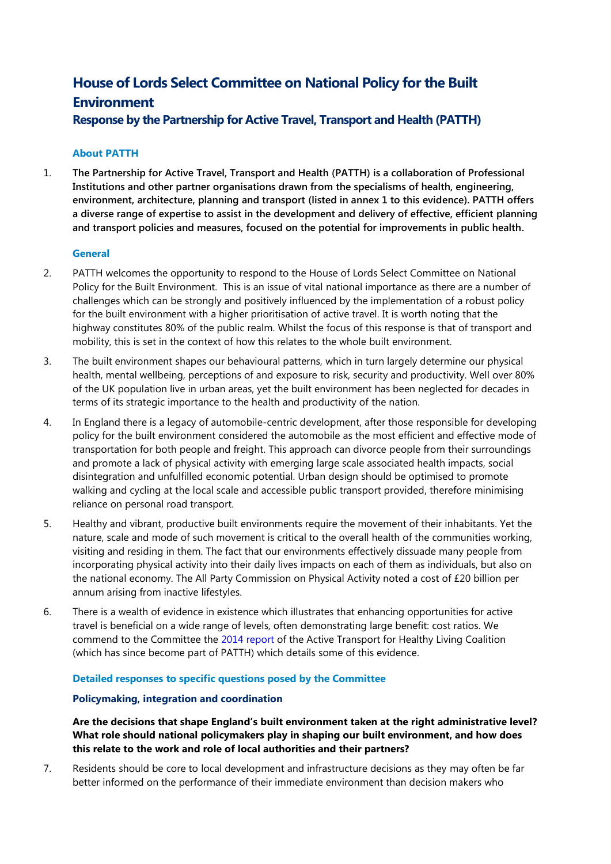# **House of Lords Select Committee on National Policy for the Built Environment**

**Response by the Partnership for Active Travel, Transport and Health (PATTH)**

# **About PATTH**

1. **The Partnership for Active Travel, Transport and Health (PATTH) is a collaboration of Professional Institutions and other partner organisations drawn from the specialisms of health, engineering, environment, architecture, planning and transport (listed in annex 1 to this evidence). PATTH offers a diverse range of expertise to assist in the development and delivery of effective, efficient planning and transport policies and measures, focused on the potential for improvements in public health.** 

# **General**

- 2. PATTH welcomes the opportunity to respond to the House of Lords Select Committee on National Policy for the Built Environment. This is an issue of vital national importance as there are a number of challenges which can be strongly and positively influenced by the implementation of a robust policy for the built environment with a higher prioritisation of active travel. It is worth noting that the highway constitutes 80% of the public realm. Whilst the focus of this response is that of transport and mobility, this is set in the context of how this relates to the whole built environment.
- 3. The built environment shapes our behavioural patterns, which in turn largely determine our physical health, mental wellbeing, perceptions of and exposure to risk, security and productivity. Well over 80% of the UK population live in urban areas, yet the built environment has been neglected for decades in terms of its strategic importance to the health and productivity of the nation.
- 4. In England there is a legacy of automobile-centric development, after those responsible for developing policy for the built environment considered the automobile as the most efficient and effective mode of transportation for both people and freight. This approach can divorce people from their surroundings and promote a lack of physical activity with emerging large scale associated health impacts, social disintegration and unfulfilled economic potential. Urban design should be optimised to promote walking and cycling at the local scale and accessible public transport provided, therefore minimising reliance on personal road transport.
- 5. Healthy and vibrant, productive built environments require the movement of their inhabitants. Yet the nature, scale and mode of such movement is critical to the overall health of the communities working, visiting and residing in them. The fact that our environments effectively dissuade many people from incorporating physical activity into their daily lives impacts on each of them as individuals, but also on the national economy. The All Party Commission on Physical Activity noted a cost of £20 billion per annum arising from inactive lifestyles.
- 6. There is a wealth of evidence in existence which illustrates that enhancing opportunities for active travel is beneficial on a wide range of levels, often demonstrating large benefit: cost ratios. We commend to the Committee the [2014 report](http://www.ciwem.org/media/1286035/20140617%20Active%20Transport%20FINAL.pdf) of the Active Transport for Healthy Living Coalition (which has since become part of PATTH) which details some of this evidence.

# **Detailed responses to specific questions posed by the Committee**

# **Policymaking, integration and coordination**

**Are the decisions that shape England's built environment taken at the right administrative level? What role should national policymakers play in shaping our built environment, and how does this relate to the work and role of local authorities and their partners?**

7. Residents should be core to local development and infrastructure decisions as they may often be far better informed on the performance of their immediate environment than decision makers who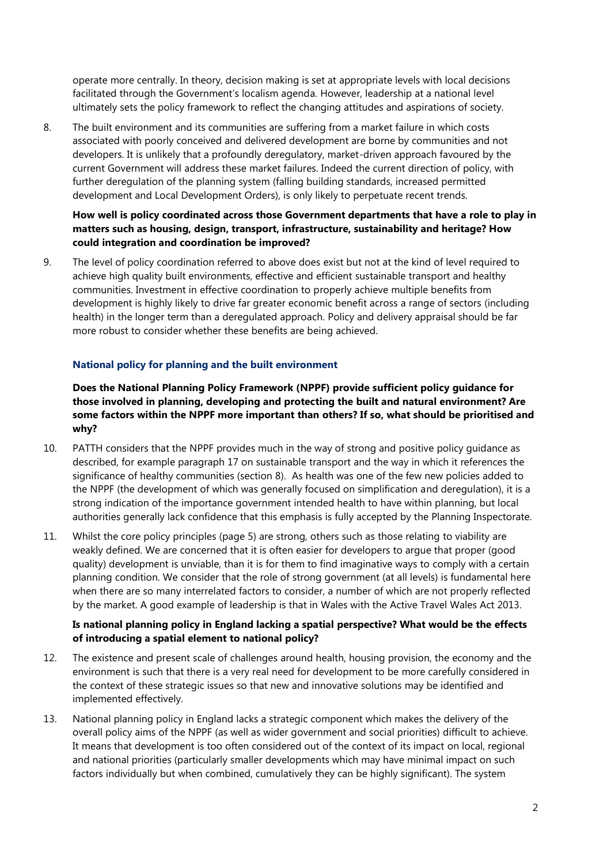operate more centrally. In theory, decision making is set at appropriate levels with local decisions facilitated through the Government's localism agenda. However, leadership at a national level ultimately sets the policy framework to reflect the changing attitudes and aspirations of society.

8. The built environment and its communities are suffering from a market failure in which costs associated with poorly conceived and delivered development are borne by communities and not developers. It is unlikely that a profoundly deregulatory, market-driven approach favoured by the current Government will address these market failures. Indeed the current direction of policy, with further deregulation of the planning system (falling building standards, increased permitted development and Local Development Orders), is only likely to perpetuate recent trends.

# **How well is policy coordinated across those Government departments that have a role to play in matters such as housing, design, transport, infrastructure, sustainability and heritage? How could integration and coordination be improved?**

9. The level of policy coordination referred to above does exist but not at the kind of level required to achieve high quality built environments, effective and efficient sustainable transport and healthy communities. Investment in effective coordination to properly achieve multiple benefits from development is highly likely to drive far greater economic benefit across a range of sectors (including health) in the longer term than a deregulated approach. Policy and delivery appraisal should be far more robust to consider whether these benefits are being achieved.

# **National policy for planning and the built environment**

**Does the National Planning Policy Framework (NPPF) provide sufficient policy guidance for those involved in planning, developing and protecting the built and natural environment? Are some factors within the NPPF more important than others? If so, what should be prioritised and why?** 

- 10. PATTH considers that the NPPF provides much in the way of strong and positive policy guidance as described, for example paragraph 17 on sustainable transport and the way in which it references the significance of healthy communities (section 8). As health was one of the few new policies added to the NPPF (the development of which was generally focused on simplification and deregulation), it is a strong indication of the importance government intended health to have within planning, but local authorities generally lack confidence that this emphasis is fully accepted by the Planning Inspectorate.
- 11. Whilst the core policy principles (page 5) are strong, others such as those relating to viability are weakly defined. We are concerned that it is often easier for developers to argue that proper (good quality) development is unviable, than it is for them to find imaginative ways to comply with a certain planning condition. We consider that the role of strong government (at all levels) is fundamental here when there are so many interrelated factors to consider, a number of which are not properly reflected by the market. A good example of leadership is that in Wales with the Active Travel Wales Act 2013.

# **Is national planning policy in England lacking a spatial perspective? What would be the effects of introducing a spatial element to national policy?**

- 12. The existence and present scale of challenges around health, housing provision, the economy and the environment is such that there is a very real need for development to be more carefully considered in the context of these strategic issues so that new and innovative solutions may be identified and implemented effectively.
- 13. National planning policy in England lacks a strategic component which makes the delivery of the overall policy aims of the NPPF (as well as wider government and social priorities) difficult to achieve. It means that development is too often considered out of the context of its impact on local, regional and national priorities (particularly smaller developments which may have minimal impact on such factors individually but when combined, cumulatively they can be highly significant). The system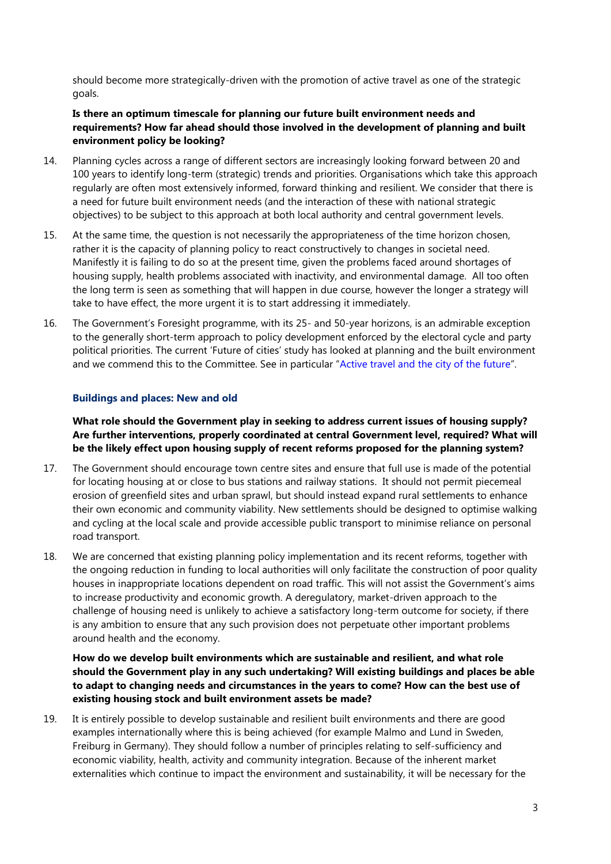should become more strategically-driven with the promotion of active travel as one of the strategic goals.

# **Is there an optimum timescale for planning our future built environment needs and requirements? How far ahead should those involved in the development of planning and built environment policy be looking?**

- 14. Planning cycles across a range of different sectors are increasingly looking forward between 20 and 100 years to identify long-term (strategic) trends and priorities. Organisations which take this approach regularly are often most extensively informed, forward thinking and resilient. We consider that there is a need for future built environment needs (and the interaction of these with national strategic objectives) to be subject to this approach at both local authority and central government levels.
- 15. At the same time, the question is not necessarily the appropriateness of the time horizon chosen, rather it is the capacity of planning policy to react constructively to changes in societal need. Manifestly it is failing to do so at the present time, given the problems faced around shortages of housing supply, health problems associated with inactivity, and environmental damage. All too often the long term is seen as something that will happen in due course, however the longer a strategy will take to have effect, the more urgent it is to start addressing it immediately.
- 16. The Government's Foresight programme, with its 25- and 50-year horizons, is an admirable exception to the generally short-term approach to policy development enforced by the electoral cycle and party political priorities. The current 'Future of cities' study has looked at planning and the built environment and we commend this to the Committee. See in particular "[Active travel and the city of the future](https://www.gov.uk/government/publications/future-of-cities-active-travel)".

## **Buildings and places: New and old**

**What role should the Government play in seeking to address current issues of housing supply? Are further interventions, properly coordinated at central Government level, required? What will be the likely effect upon housing supply of recent reforms proposed for the planning system?**

- 17. The Government should encourage town centre sites and ensure that full use is made of the potential for locating housing at or close to bus stations and railway stations. It should not permit piecemeal erosion of greenfield sites and urban sprawl, but should instead expand rural settlements to enhance their own economic and community viability. New settlements should be designed to optimise walking and cycling at the local scale and provide accessible public transport to minimise reliance on personal road transport.
- 18. We are concerned that existing planning policy implementation and its recent reforms, together with the ongoing reduction in funding to local authorities will only facilitate the construction of poor quality houses in inappropriate locations dependent on road traffic. This will not assist the Government's aims to increase productivity and economic growth. A deregulatory, market-driven approach to the challenge of housing need is unlikely to achieve a satisfactory long-term outcome for society, if there is any ambition to ensure that any such provision does not perpetuate other important problems around health and the economy.

## **How do we develop built environments which are sustainable and resilient, and what role should the Government play in any such undertaking? Will existing buildings and places be able to adapt to changing needs and circumstances in the years to come? How can the best use of existing housing stock and built environment assets be made?**

19. It is entirely possible to develop sustainable and resilient built environments and there are good examples internationally where this is being achieved (for example Malmo and Lund in Sweden, Freiburg in Germany). They should follow a number of principles relating to self-sufficiency and economic viability, health, activity and community integration. Because of the inherent market externalities which continue to impact the environment and sustainability, it will be necessary for the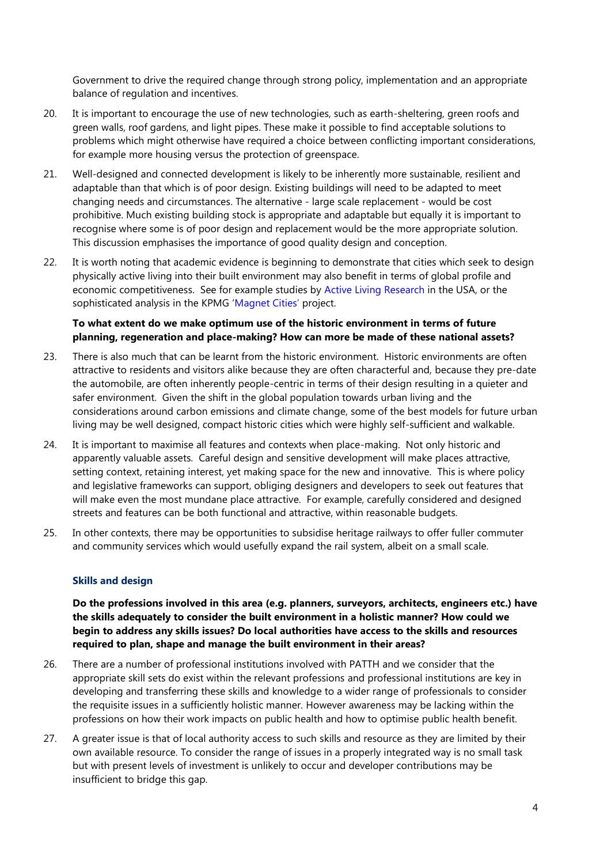Government to drive the required change through strong policy, implementation and an appropriate balance of regulation and incentives.

- 20. It is important to encourage the use of new technologies, such as earth-sheltering, green roofs and green walls, roof gardens, and light pipes. These make it possible to find acceptable solutions to problems which might otherwise have required a choice between conflicting important considerations, for example more housing versus the protection of greenspace.
- 21. Well-designed and connected development is likely to be inherently more sustainable, resilient and adaptable than that which is of poor design. Existing buildings will need to be adapted to meet changing needs and circumstances. The alternative - large scale replacement - would be cost prohibitive. Much existing building stock is appropriate and adaptable but equally it is important to recognise where some is of poor design and replacement would be the more appropriate solution. This discussion emphasises the importance of good quality design and conception.
- 22. It is worth noting that academic evidence is beginning to demonstrate that cities which seek to design physically active living into their built environment may also benefit in terms of global profile and economic competitiveness. See for example studies by [Active Living Research](http://www.ijbnpa.org/content/12/1/30) in the USA, or the sophisticated analysis in the KPMG ['Magnet Cities'](http://www.kpmg.com/uk/en/topics/magnet-cities/pages/default.aspx) project.

## **To what extent do we make optimum use of the historic environment in terms of future planning, regeneration and place-making? How can more be made of these national assets?**

- 23. There is also much that can be learnt from the historic environment. Historic environments are often attractive to residents and visitors alike because they are often characterful and, because they pre-date the automobile, are often inherently people-centric in terms of their design resulting in a quieter and safer environment. Given the shift in the global population towards urban living and the considerations around carbon emissions and climate change, some of the best models for future urban living may be well designed, compact historic cities which were highly self-sufficient and walkable.
- 24. It is important to maximise all features and contexts when place-making. Not only historic and apparently valuable assets. Careful design and sensitive development will make places attractive, setting context, retaining interest, yet making space for the new and innovative. This is where policy and legislative frameworks can support, obliging designers and developers to seek out features that will make even the most mundane place attractive. For example, carefully considered and designed streets and features can be both functional and attractive, within reasonable budgets.
- 25. In other contexts, there may be opportunities to subsidise heritage railways to offer fuller commuter and community services which would usefully expand the rail system, albeit on a small scale.

#### **Skills and design**

**Do the professions involved in this area (e.g. planners, surveyors, architects, engineers etc.) have the skills adequately to consider the built environment in a holistic manner? How could we begin to address any skills issues? Do local authorities have access to the skills and resources required to plan, shape and manage the built environment in their areas?**

- 26. There are a number of professional institutions involved with PATTH and we consider that the appropriate skill sets do exist within the relevant professions and professional institutions are key in developing and transferring these skills and knowledge to a wider range of professionals to consider the requisite issues in a sufficiently holistic manner. However awareness may be lacking within the professions on how their work impacts on public health and how to optimise public health benefit.
- 27. A greater issue is that of local authority access to such skills and resource as they are limited by their own available resource. To consider the range of issues in a properly integrated way is no small task but with present levels of investment is unlikely to occur and developer contributions may be insufficient to bridge this gap.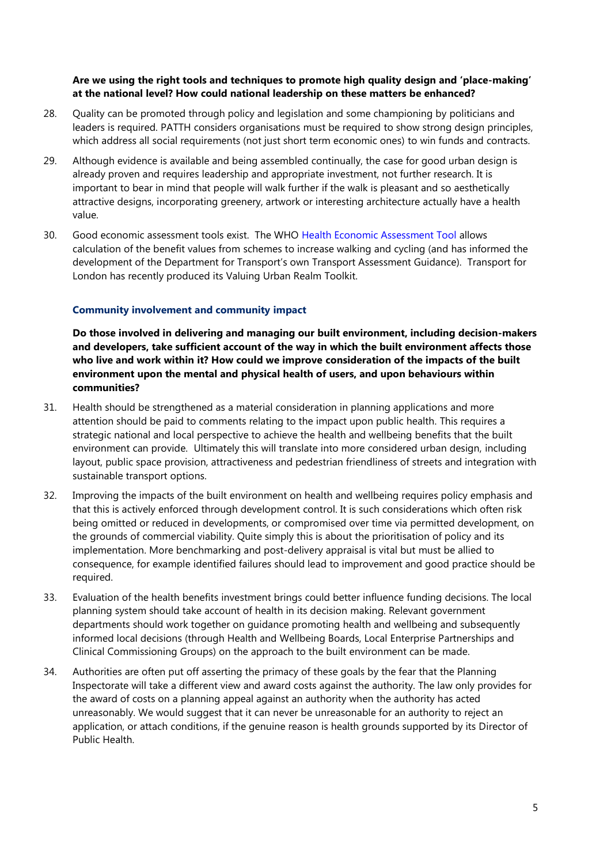## **Are we using the right tools and techniques to promote high quality design and 'place-making' at the national level? How could national leadership on these matters be enhanced?**

- 28. Quality can be promoted through policy and legislation and some championing by politicians and leaders is required. PATTH considers organisations must be required to show strong design principles, which address all social requirements (not just short term economic ones) to win funds and contracts.
- 29. Although evidence is available and being assembled continually, the case for good urban design is already proven and requires leadership and appropriate investment, not further research. It is important to bear in mind that people will walk further if the walk is pleasant and so aesthetically attractive designs, incorporating greenery, artwork or interesting architecture actually have a health value.
- 30. Good economic assessment tools exist. The WHO [Health Economic Assessment Tool](http://www.heatwalkingcycling.org/) allows calculation of the benefit values from schemes to increase walking and cycling (and has informed the development of the Department for Transport's own Transport Assessment Guidance). Transport for London has recently produced its Valuing Urban Realm Toolkit.

## **Community involvement and community impact**

**Do those involved in delivering and managing our built environment, including decision-makers and developers, take sufficient account of the way in which the built environment affects those who live and work within it? How could we improve consideration of the impacts of the built environment upon the mental and physical health of users, and upon behaviours within communities?**

- 31. Health should be strengthened as a material consideration in planning applications and more attention should be paid to comments relating to the impact upon public health. This requires a strategic national and local perspective to achieve the health and wellbeing benefits that the built environment can provide. Ultimately this will translate into more considered urban design, including layout, public space provision, attractiveness and pedestrian friendliness of streets and integration with sustainable transport options.
- 32. Improving the impacts of the built environment on health and wellbeing requires policy emphasis and that this is actively enforced through development control. It is such considerations which often risk being omitted or reduced in developments, or compromised over time via permitted development, on the grounds of commercial viability. Quite simply this is about the prioritisation of policy and its implementation. More benchmarking and post-delivery appraisal is vital but must be allied to consequence, for example identified failures should lead to improvement and good practice should be required.
- 33. Evaluation of the health benefits investment brings could better influence funding decisions. The local planning system should take account of health in its decision making. Relevant government departments should work together on guidance promoting health and wellbeing and subsequently informed local decisions (through Health and Wellbeing Boards, Local Enterprise Partnerships and Clinical Commissioning Groups) on the approach to the built environment can be made.
- 34. Authorities are often put off asserting the primacy of these goals by the fear that the Planning Inspectorate will take a different view and award costs against the authority. The law only provides for the award of costs on a planning appeal against an authority when the authority has acted unreasonably. We would suggest that it can never be unreasonable for an authority to reject an application, or attach conditions, if the genuine reason is health grounds supported by its Director of Public Health.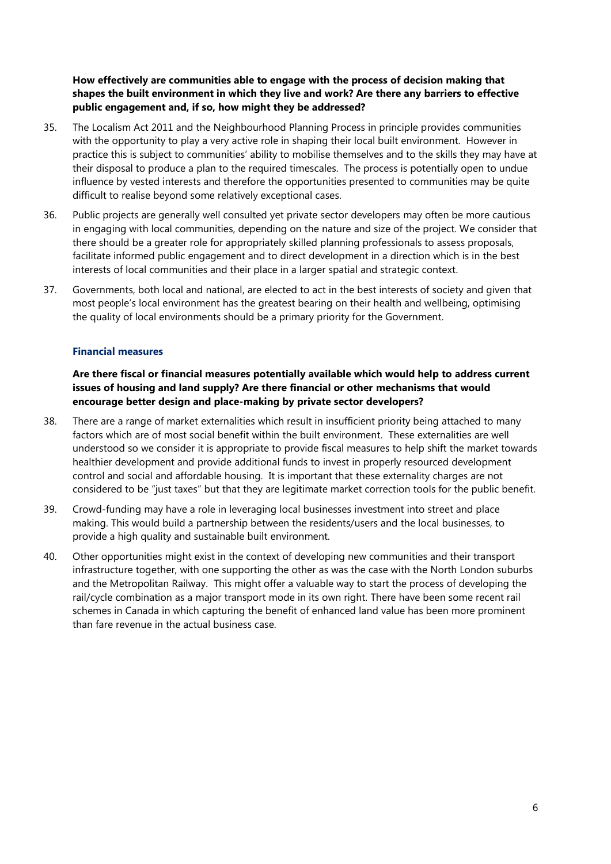## **How effectively are communities able to engage with the process of decision making that shapes the built environment in which they live and work? Are there any barriers to effective public engagement and, if so, how might they be addressed?**

- 35. The Localism Act 2011 and the Neighbourhood Planning Process in principle provides communities with the opportunity to play a very active role in shaping their local built environment. However in practice this is subject to communities' ability to mobilise themselves and to the skills they may have at their disposal to produce a plan to the required timescales. The process is potentially open to undue influence by vested interests and therefore the opportunities presented to communities may be quite difficult to realise beyond some relatively exceptional cases.
- 36. Public projects are generally well consulted yet private sector developers may often be more cautious in engaging with local communities, depending on the nature and size of the project. We consider that there should be a greater role for appropriately skilled planning professionals to assess proposals, facilitate informed public engagement and to direct development in a direction which is in the best interests of local communities and their place in a larger spatial and strategic context.
- 37. Governments, both local and national, are elected to act in the best interests of society and given that most people's local environment has the greatest bearing on their health and wellbeing, optimising the quality of local environments should be a primary priority for the Government.

#### **Financial measures**

## **Are there fiscal or financial measures potentially available which would help to address current issues of housing and land supply? Are there financial or other mechanisms that would encourage better design and place-making by private sector developers?**

- 38. There are a range of market externalities which result in insufficient priority being attached to many factors which are of most social benefit within the built environment. These externalities are well understood so we consider it is appropriate to provide fiscal measures to help shift the market towards healthier development and provide additional funds to invest in properly resourced development control and social and affordable housing. It is important that these externality charges are not considered to be "just taxes" but that they are legitimate market correction tools for the public benefit.
- 39. Crowd-funding may have a role in leveraging local businesses investment into street and place making. This would build a partnership between the residents/users and the local businesses, to provide a high quality and sustainable built environment.
- 40. Other opportunities might exist in the context of developing new communities and their transport infrastructure together, with one supporting the other as was the case with the North London suburbs and the Metropolitan Railway. This might offer a valuable way to start the process of developing the rail/cycle combination as a major transport mode in its own right. There have been some recent rail schemes in Canada in which capturing the benefit of enhanced land value has been more prominent than fare revenue in the actual business case.